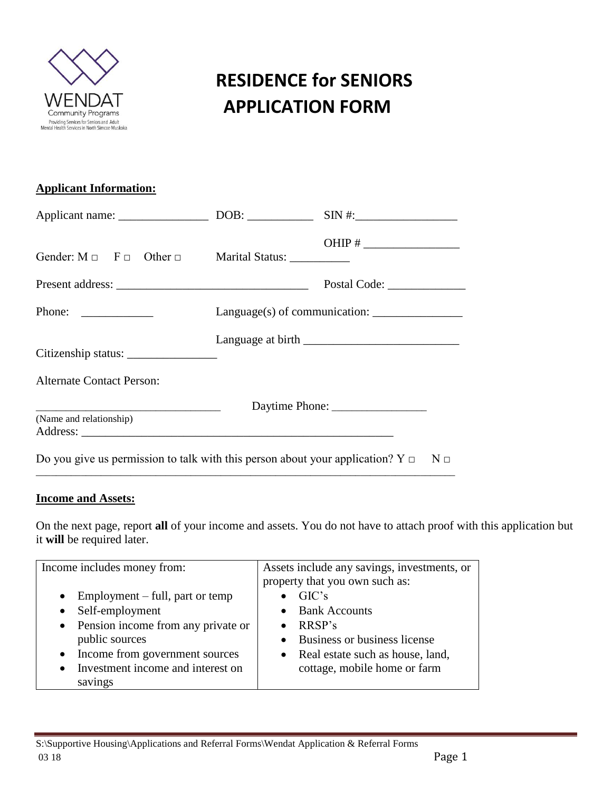

|                                                                                              | OHIP # $\frac{1}{\sqrt{1-\frac{1}{2}}}\frac{1}{\sqrt{1-\frac{1}{2}}}\frac{1}{\sqrt{1-\frac{1}{2}}}\frac{1}{\sqrt{1-\frac{1}{2}}}\frac{1}{\sqrt{1-\frac{1}{2}}}\frac{1}{\sqrt{1-\frac{1}{2}}}\frac{1}{\sqrt{1-\frac{1}{2}}}\frac{1}{\sqrt{1-\frac{1}{2}}}\frac{1}{\sqrt{1-\frac{1}{2}}}\frac{1}{\sqrt{1-\frac{1}{2}}}\frac{1}{\sqrt{1-\frac{1}{2}}}\frac{1}{\sqrt{1-\frac{1}{2}}}\frac{1}{\sqrt{1-\frac{1}{2}}}\frac{1}{$ |
|----------------------------------------------------------------------------------------------|--------------------------------------------------------------------------------------------------------------------------------------------------------------------------------------------------------------------------------------------------------------------------------------------------------------------------------------------------------------------------------------------------------------------------|
|                                                                                              |                                                                                                                                                                                                                                                                                                                                                                                                                          |
| Phone: $\qquad \qquad$                                                                       |                                                                                                                                                                                                                                                                                                                                                                                                                          |
|                                                                                              |                                                                                                                                                                                                                                                                                                                                                                                                                          |
| <b>Alternate Contact Person:</b>                                                             |                                                                                                                                                                                                                                                                                                                                                                                                                          |
| (Name and relationship)                                                                      |                                                                                                                                                                                                                                                                                                                                                                                                                          |
| Do you give us permission to talk with this person about your application? $Y \Box$ N $\Box$ |                                                                                                                                                                                                                                                                                                                                                                                                                          |

\_\_\_\_\_\_\_\_\_\_\_\_\_\_\_\_\_\_\_\_\_\_\_\_\_\_\_\_\_\_\_\_\_\_\_\_\_\_\_\_\_\_\_\_\_\_\_\_\_\_\_\_\_\_\_\_\_\_\_\_\_\_\_\_\_\_\_\_\_\_\_\_\_\_\_\_\_\_\_\_\_\_\_\_

#### **Income and Assets:**

On the next page, report **all** of your income and assets. You do not have to attach proof with this application but it **will** be required later.

| Income includes money from:                                                                                                                                                                                                                        | Assets include any savings, investments, or<br>property that you own such as:                                                              |
|----------------------------------------------------------------------------------------------------------------------------------------------------------------------------------------------------------------------------------------------------|--------------------------------------------------------------------------------------------------------------------------------------------|
| Employment – full, part or temp<br>$\bullet$<br>Self-employment<br>$\bullet$<br>• Pension income from any private or<br>public sources<br>Income from government sources<br>$\bullet$<br>Investment income and interest on<br>$\bullet$<br>savings | GIC's<br>• Bank Accounts<br>RRSP's<br>• Business or business license<br>• Real estate such as house, land,<br>cottage, mobile home or farm |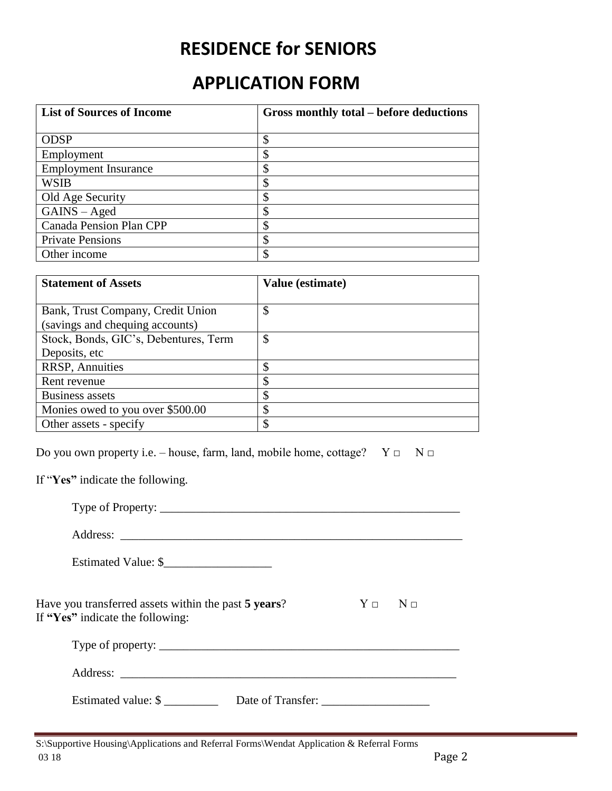### **RESIDENCE for SENIORS**

### **APPLICATION FORM**

| <b>List of Sources of Income</b> | Gross monthly total – before deductions |  |
|----------------------------------|-----------------------------------------|--|
|                                  |                                         |  |
| <b>ODSP</b>                      | \$                                      |  |
| Employment                       | \$                                      |  |
| <b>Employment Insurance</b>      | \$                                      |  |
| <b>WSIB</b>                      |                                         |  |
| Old Age Security                 | S                                       |  |
| $GAINS - Aged$                   | \$                                      |  |
| <b>Canada Pension Plan CPP</b>   | \$                                      |  |
| <b>Private Pensions</b>          | \$                                      |  |
| Other income                     | \$                                      |  |

| <b>Statement of Assets</b>            | Value (estimate) |
|---------------------------------------|------------------|
|                                       |                  |
| Bank, Trust Company, Credit Union     | \$               |
| (savings and chequing accounts)       |                  |
| Stock, Bonds, GIC's, Debentures, Term | \$               |
| Deposits, etc                         |                  |
| <b>RRSP, Annuities</b>                | ¢<br>J           |
| Rent revenue                          | ¢                |
| <b>Business assets</b>                |                  |
| Monies owed to you over \$500.00      |                  |
| Other assets - specify                |                  |

Do you own property i.e. – house, farm, land, mobile home, cottage?  $Y \Box \neg N \Box$ 

If "**Yes"** indicate the following.

| Have you transferred assets within the past 5 years?<br>If "Yes" indicate the following: | $Y \Box$ $N \Box$ |  |
|------------------------------------------------------------------------------------------|-------------------|--|
|                                                                                          |                   |  |
|                                                                                          |                   |  |
| Estimated value: \$<br>Date of Transfer:                                                 |                   |  |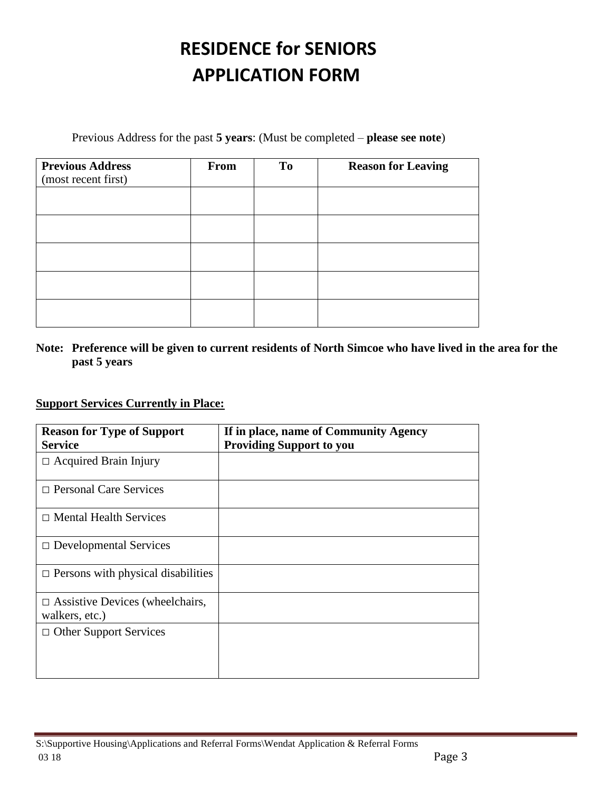Previous Address for the past **5 years**: (Must be completed – **please see note**)

| <b>Previous Address</b><br>(most recent first) | From | <b>To</b> | <b>Reason for Leaving</b> |
|------------------------------------------------|------|-----------|---------------------------|
|                                                |      |           |                           |
|                                                |      |           |                           |
|                                                |      |           |                           |
|                                                |      |           |                           |
|                                                |      |           |                           |

### **Note: Preference will be given to current residents of North Simcoe who have lived in the area for the past 5 years**

### **Support Services Currently in Place:**

| <b>Reason for Type of Support</b><br><b>Service</b>      | If in place, name of Community Agency<br><b>Providing Support to you</b> |
|----------------------------------------------------------|--------------------------------------------------------------------------|
| $\Box$ Acquired Brain Injury                             |                                                                          |
| $\Box$ Personal Care Services                            |                                                                          |
| $\Box$ Mental Health Services                            |                                                                          |
| $\Box$ Developmental Services                            |                                                                          |
| $\Box$ Persons with physical disabilities                |                                                                          |
| $\Box$ Assistive Devices (wheelchairs,<br>walkers, etc.) |                                                                          |
| $\Box$ Other Support Services                            |                                                                          |
|                                                          |                                                                          |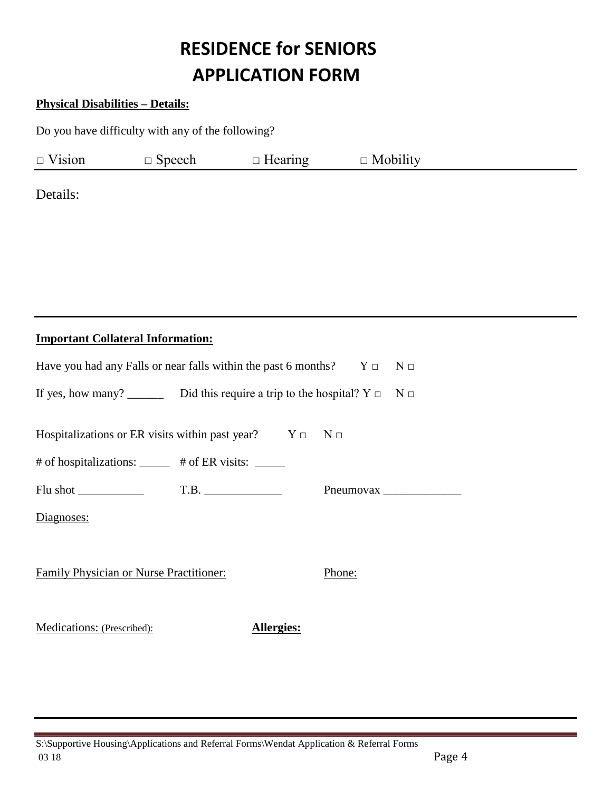### **Physical Disabilities – Details:**

Do you have difficulty with any of the following?

| $\Box$ Vision | Nneech | $\Box$ Hearin<br>earing ' | $\cdot$ 1 $\cdot$ .<br>$\Box$<br>Mobility<br>_______ |  |
|---------------|--------|---------------------------|------------------------------------------------------|--|
|               |        |                           |                                                      |  |

Details:

### **Important Collateral Information:**

| Have you had any Falls or near falls within the past 6 months? $Y \Box$ N $\Box$      |            |        |  |  |
|---------------------------------------------------------------------------------------|------------|--------|--|--|
| If yes, how many? ________ Did this require a trip to the hospital? $Y \Box$ N $\Box$ |            |        |  |  |
| Hospitalizations or ER visits within past year? $Y \Box$ $N \Box$                     |            |        |  |  |
| # of hospitalizations: _____ # of ER visits: _____                                    |            |        |  |  |
|                                                                                       |            |        |  |  |
| Diagnoses:                                                                            |            |        |  |  |
|                                                                                       |            |        |  |  |
| <b>Family Physician or Nurse Practitioner:</b>                                        |            | Phone: |  |  |
|                                                                                       |            |        |  |  |
| Medications: (Prescribed):                                                            | Allergies: |        |  |  |